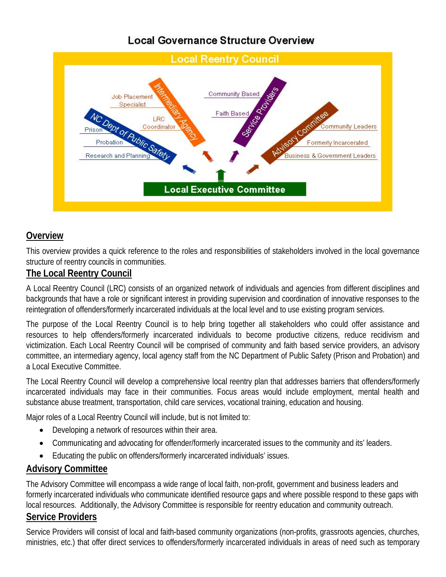# **Local Governance Structure Overview**



### **Overview**

This overview provides a quick reference to the roles and responsibilities of stakeholders involved in the local governance structure of reentry councils in communities.

#### **The Local Reentry Council**

A Local Reentry Council (LRC) consists of an organized network of individuals and agencies from different disciplines and backgrounds that have a role or significant interest in providing supervision and coordination of innovative responses to the reintegration of offenders/formerly incarcerated individuals at the local level and to use existing program services.

The purpose of the Local Reentry Council is to help bring together all stakeholders who could offer assistance and resources to help offenders/formerly incarcerated individuals to become productive citizens, reduce recidivism and victimization. Each Local Reentry Council will be comprised of community and faith based service providers, an advisory committee, an intermediary agency, local agency staff from the NC Department of Public Safety (Prison and Probation) and a Local Executive Committee.

The Local Reentry Council will develop a comprehensive local reentry plan that addresses barriers that offenders/formerly incarcerated individuals may face in their communities. Focus areas would include employment, mental health and substance abuse treatment, transportation, child care services, vocational training, education and housing.

Major roles of a Local Reentry Council will include, but is not limited to:

- Developing a network of resources within their area.
- Communicating and advocating for offender/formerly incarcerated issues to the community and its' leaders.
- Educating the public on offenders/formerly incarcerated individuals' issues.

#### **Advisory Committee**

The Advisory Committee will encompass a wide range of local faith, non-profit, government and business leaders and formerly incarcerated individuals who communicate identified resource gaps and where possible respond to these gaps with local resources. Additionally, the Advisory Committee is responsible for reentry education and community outreach. **Service Providers**

Service Providers will consist of local and faith-based community organizations (non-profits, grassroots agencies, churches, ministries, etc.) that offer direct services to offenders/formerly incarcerated individuals in areas of need such as temporary